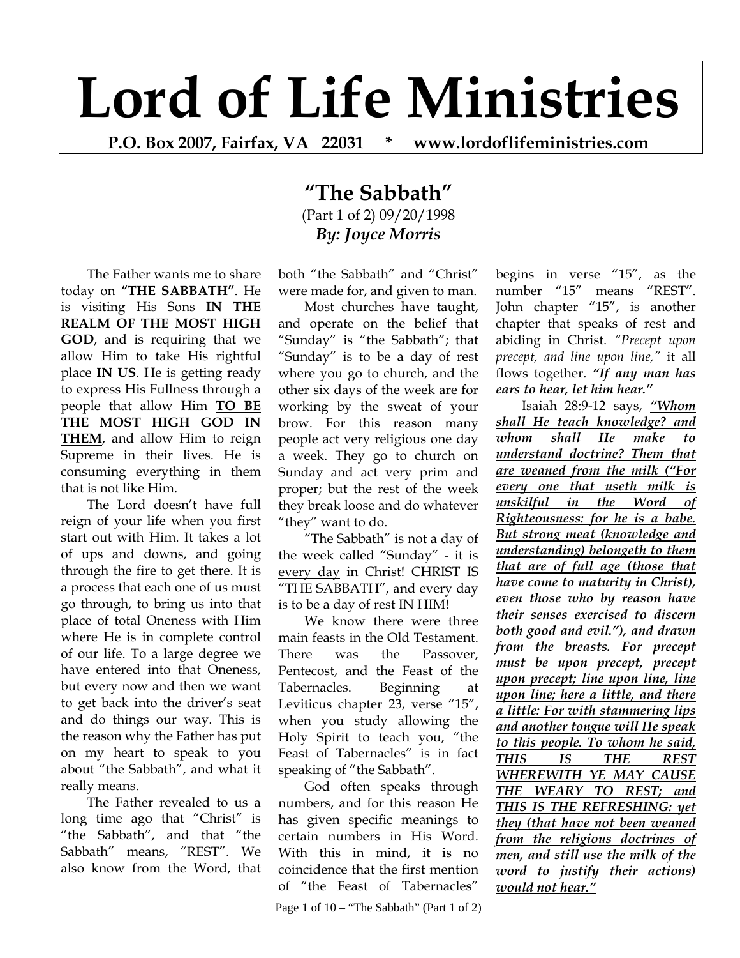## **Lord of Life Ministries**

**P.O. Box 2007, Fairfax, VA 22031 \* www.lordoflifeministries.com** 

## **"The Sabbath"** (Part 1 of 2) 09/20/1998 *By: Joyce Morris*

The Father wants me to share today on **"THE SABBATH"**. He is visiting His Sons **IN THE REALM OF THE MOST HIGH GOD**, and is requiring that we allow Him to take His rightful place **IN US**. He is getting ready to express His Fullness through a people that allow Him **TO BE THE MOST HIGH GOD IN THEM**, and allow Him to reign Supreme in their lives. He is consuming everything in them that is not like Him.

The Lord doesn't have full reign of your life when you first start out with Him. It takes a lot of ups and downs, and going through the fire to get there. It is a process that each one of us must go through, to bring us into that place of total Oneness with Him where He is in complete control of our life. To a large degree we have entered into that Oneness, but every now and then we want to get back into the driver's seat and do things our way. This is the reason why the Father has put on my heart to speak to you about "the Sabbath", and what it really means.

The Father revealed to us a long time ago that "Christ" is "the Sabbath", and that "the Sabbath" means, "REST". We also know from the Word, that both "the Sabbath" and "Christ" were made for, and given to man.

Most churches have taught, and operate on the belief that "Sunday" is "the Sabbath"; that "Sunday" is to be a day of rest where you go to church, and the other six days of the week are for working by the sweat of your brow. For this reason many people act very religious one day a week. They go to church on Sunday and act very prim and proper; but the rest of the week they break loose and do whatever "they" want to do.

"The Sabbath" is not a day of the week called "Sunday" - it is every day in Christ! CHRIST IS "THE SABBATH", and every day is to be a day of rest IN HIM!

We know there were three main feasts in the Old Testament. There was the Passover, Pentecost, and the Feast of the Tabernacles. Beginning at Leviticus chapter 23, verse "15", when you study allowing the Holy Spirit to teach you, "the Feast of Tabernacles" is in fact speaking of "the Sabbath".

God often speaks through numbers, and for this reason He has given specific meanings to certain numbers in His Word. With this in mind, it is no coincidence that the first mention of "the Feast of Tabernacles"

Page 1 of  $10 -$  "The Sabbath" (Part 1 of 2)

begins in verse "15", as the number "15" means "REST". John chapter "15", is another chapter that speaks of rest and abiding in Christ. *"Precept upon precept, and line upon line,"* it all flows together. *"If any man has ears to hear, let him hear."*

Isaiah 28:9-12 says, *"Whom shall He teach knowledge? and whom shall He make to understand doctrine? Them that are weaned from the milk ("For every one that useth milk is unskilful in the Word of Righteousness: for he is a babe. But strong meat (knowledge and understanding) belongeth to them that are of full age (those that have come to maturity in Christ), even those who by reason have their senses exercised to discern both good and evil."), and drawn from the breasts. For precept must be upon precept, precept upon precept; line upon line, line upon line; here a little, and there a little: For with stammering lips and another tongue will He speak to this people. To whom he said, THIS IS THE REST WHEREWITH YE MAY CAUSE THE WEARY TO REST; and THIS IS THE REFRESHING: yet they (that have not been weaned from the religious doctrines of men, and still use the milk of the word to justify their actions) would not hear."*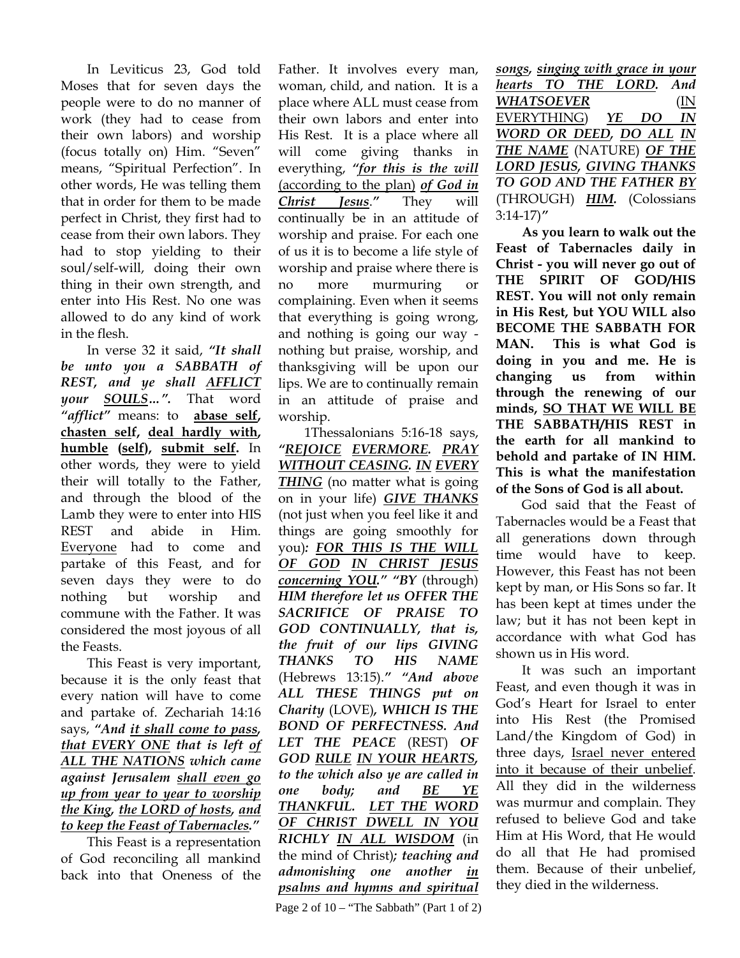In Leviticus 23, God told Moses that for seven days the people were to do no manner of work (they had to cease from their own labors) and worship (focus totally on) Him. "Seven" means, "Spiritual Perfection". In other words, He was telling them that in order for them to be made perfect in Christ, they first had to cease from their own labors. They had to stop yielding to their soul/self-will, doing their own thing in their own strength, and enter into His Rest. No one was allowed to do any kind of work in the flesh.

In verse 32 it said, *"It shall be unto you a SABBATH of REST, and ye shall AFFLICT your SOULS…".* That word *"afflict"* means: to **abase self, chasten self, deal hardly with, humble (self), submit self.** In other words, they were to yield their will totally to the Father, and through the blood of the Lamb they were to enter into HIS REST and abide in Him. Everyone had to come and partake of this Feast, and for seven days they were to do nothing but worship and commune with the Father. It was considered the most joyous of all the Feasts.

This Feast is very important, because it is the only feast that every nation will have to come and partake of. Zechariah 14:16 says, *"And it shall come to pass, that EVERY ONE that is left of ALL THE NATIONS which came against Jerusalem shall even go up from year to year to worship the King, the LORD of hosts, and to keep the Feast of Tabernacles."*

This Feast is a representation of God reconciling all mankind back into that Oneness of the

Father. It involves every man, woman, child, and nation. It is a place where ALL must cease from their own labors and enter into His Rest. It is a place where all will come giving thanks in everything, *"for this is the will* (according to the plan) *of God in Christ Jesus*.*"* They will continually be in an attitude of worship and praise. For each one of us it is to become a life style of worship and praise where there is no more murmuring or complaining. Even when it seems that everything is going wrong, and nothing is going our way nothing but praise, worship, and thanksgiving will be upon our lips. We are to continually remain in an attitude of praise and worship.

1Thessalonians 5:16-18 says, *"REJOICE EVERMORE. PRAY WITHOUT CEASING. IN EVERY THING* (no matter what is going on in your life) *GIVE THANKS*  (not just when you feel like it and things are going smoothly for you)*: FOR THIS IS THE WILL OF GOD IN CHRIST JESUS concerning YOU." "BY* (through) *HIM therefore let us OFFER THE SACRIFICE OF PRAISE TO GOD CONTINUALLY, that is, the fruit of our lips GIVING THANKS TO HIS NAME*  (Hebrews 13:15).*" "And above ALL THESE THINGS put on Charity* (LOVE)*, WHICH IS THE BOND OF PERFECTNESS. And LET THE PEACE* (REST) *OF GOD RULE IN YOUR HEARTS, to the which also ye are called in one body; and BE YE THANKFUL. LET THE WORD OF CHRIST DWELL IN YOU RICHLY IN ALL WISDOM* (in the mind of Christ)*; teaching and admonishing one another in psalms and hymns and spiritual* 

*songs, singing with grace in your hearts TO THE LORD. And WHATSOEVER* (IN EVERYTHING) *YE DO IN WORD OR DEED, DO ALL IN THE NAME* (NATURE) *OF THE LORD JESUS, GIVING THANKS TO GOD AND THE FATHER BY*  (THROUGH) *HIM.* (Colossians 3:14-17)*"*

**As you learn to walk out the Feast of Tabernacles daily in Christ - you will never go out of THE SPIRIT OF GOD/HIS REST. You will not only remain in His Rest, but YOU WILL also BECOME THE SABBATH FOR MAN. This is what God is doing in you and me. He is changing us from within through the renewing of our minds, SO THAT WE WILL BE THE SABBATH/HIS REST in the earth for all mankind to behold and partake of IN HIM. This is what the manifestation of the Sons of God is all about.**

God said that the Feast of Tabernacles would be a Feast that all generations down through time would have to keep. However, this Feast has not been kept by man, or His Sons so far. It has been kept at times under the law; but it has not been kept in accordance with what God has shown us in His word.

It was such an important Feast, and even though it was in God's Heart for Israel to enter into His Rest (the Promised Land/the Kingdom of God) in three days, Israel never entered into it because of their unbelief. All they did in the wilderness was murmur and complain. They refused to believe God and take Him at His Word, that He would do all that He had promised them. Because of their unbelief, they died in the wilderness.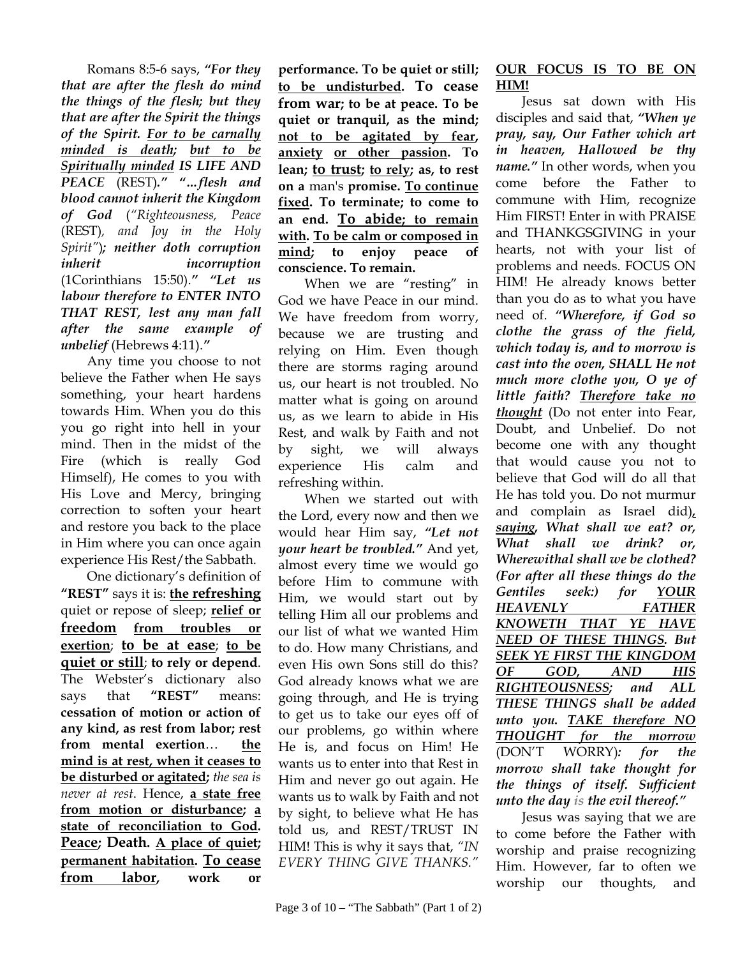Romans 8:5-6 says, *"For they that are after the flesh do mind the things of the flesh; but they that are after the Spirit the things of the Spirit. For to be carnally minded is death; but to be Spiritually minded IS LIFE AND PEACE* (REST)*." "…flesh and blood cannot inherit the Kingdom of God* (*"Righteousness, Peace*  (REST)*, and Joy in the Holy Spirit"*)*; neither doth corruption inherit incorruption*  (1Corinthians 15:50).*" "Let us labour therefore to ENTER INTO THAT REST, lest any man fall after the same example of unbelief* (Hebrews 4:11).*"*

Any time you choose to not believe the Father when He says something, your heart hardens towards Him. When you do this you go right into hell in your mind. Then in the midst of the Fire (which is really God Himself), He comes to you with His Love and Mercy, bringing correction to soften your heart and restore you back to the place in Him where you can once again experience His Rest/the Sabbath.

One dictionary's definition of **"REST"** says it is: **the refreshing** quiet or repose of sleep; **relief or freedom from troubles or exertion**; **to be at ease**; **to be quiet or still**; **to rely or depend**. The Webster's dictionary also says that **"REST"** means: **cessation of motion or action of any kind, as rest from labor; rest from mental exertion**… **the mind is at rest, when it ceases to be disturbed or agitated;** *the sea is never at rest*. Hence, **a state free from motion or disturbance; a state of reconciliation to God. Peace; Death. A place of quiet; permanent habitation. To cease from labor, work or** 

**performance. To be quiet or still; to be undisturbed. To cease from war; to be at peace. To be quiet or tranquil, as the mind; not to be agitated by fear, anxiety or other passion. To lean; to trust; to rely; as, to rest on a** man's **promise. To continue fixed. To terminate; to come to an end. To abide; to remain with. To be calm or composed in mind; to enjoy peace of conscience. To remain.**

When we are "resting" in God we have Peace in our mind. We have freedom from worry, because we are trusting and relying on Him. Even though there are storms raging around us, our heart is not troubled. No matter what is going on around us, as we learn to abide in His Rest, and walk by Faith and not by sight, we will always experience His calm and refreshing within.

When we started out with the Lord, every now and then we would hear Him say, *"Let not your heart be troubled."* And yet, almost every time we would go before Him to commune with Him, we would start out by telling Him all our problems and our list of what we wanted Him to do. How many Christians, and even His own Sons still do this? God already knows what we are going through, and He is trying to get us to take our eyes off of our problems, go within where He is, and focus on Him! He wants us to enter into that Rest in Him and never go out again. He wants us to walk by Faith and not by sight, to believe what He has told us, and REST/TRUST IN HIM! This is why it says that, *"IN EVERY THING GIVE THANKS."*

## **OUR FOCUS IS TO BE ON HIM!**

Jesus sat down with His disciples and said that, *"When ye pray, say, Our Father which art in heaven, Hallowed be thy name."* In other words, when you come before the Father to commune with Him, recognize Him FIRST! Enter in with PRAISE and THANKGSGIVING in your hearts, not with your list of problems and needs. FOCUS ON HIM! He already knows better than you do as to what you have need of. *"Wherefore, if God so clothe the grass of the field, which today is, and to morrow is cast into the oven, SHALL He not much more clothe you, O ye of little faith? Therefore take no thought* (Do not enter into Fear, Doubt, and Unbelief. Do not become one with any thought that would cause you not to believe that God will do all that He has told you. Do not murmur and complain as Israel did)*, saying, What shall we eat? or, What shall we drink? or, Wherewithal shall we be clothed? (For after all these things do the Gentiles seek:) for YOUR HEAVENLY FATHER KNOWETH THAT YE HAVE NEED OF THESE THINGS. But SEEK YE FIRST THE KINGDOM OF GOD, AND HIS RIGHTEOUSNESS; and ALL THESE THINGS shall be added unto you. TAKE therefore NO THOUGHT for the morrow* (DON'T WORRY)*: for the morrow shall take thought for the things of itself. Sufficient unto the day is the evil thereof."*

Jesus was saying that we are to come before the Father with worship and praise recognizing Him. However, far to often we worship our thoughts, and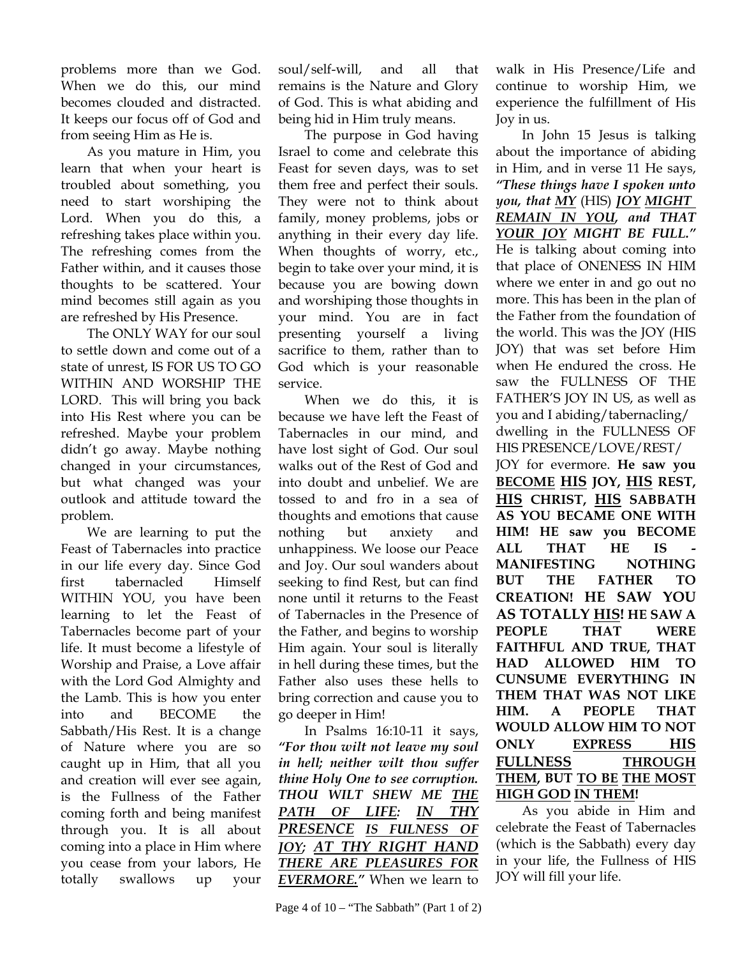problems more than we God. When we do this, our mind becomes clouded and distracted. It keeps our focus off of God and from seeing Him as He is.

As you mature in Him, you learn that when your heart is troubled about something, you need to start worshiping the Lord. When you do this, a refreshing takes place within you. The refreshing comes from the Father within, and it causes those thoughts to be scattered. Your mind becomes still again as you are refreshed by His Presence.

The ONLY WAY for our soul to settle down and come out of a state of unrest, IS FOR US TO GO WITHIN AND WORSHIP THE LORD. This will bring you back into His Rest where you can be refreshed. Maybe your problem didn't go away. Maybe nothing changed in your circumstances, but what changed was your outlook and attitude toward the problem.

We are learning to put the Feast of Tabernacles into practice in our life every day. Since God first tabernacled Himself WITHIN YOU, you have been learning to let the Feast of Tabernacles become part of your life. It must become a lifestyle of Worship and Praise, a Love affair with the Lord God Almighty and the Lamb. This is how you enter into and BECOME the Sabbath/His Rest. It is a change of Nature where you are so caught up in Him, that all you and creation will ever see again, is the Fullness of the Father coming forth and being manifest through you. It is all about coming into a place in Him where you cease from your labors, He totally swallows up your

soul/self-will, and all that remains is the Nature and Glory of God. This is what abiding and being hid in Him truly means.

The purpose in God having Israel to come and celebrate this Feast for seven days, was to set them free and perfect their souls. They were not to think about family, money problems, jobs or anything in their every day life. When thoughts of worry, etc., begin to take over your mind, it is because you are bowing down and worshiping those thoughts in your mind. You are in fact presenting yourself a living sacrifice to them, rather than to God which is your reasonable service.

When we do this, it is because we have left the Feast of Tabernacles in our mind, and have lost sight of God. Our soul walks out of the Rest of God and into doubt and unbelief. We are tossed to and fro in a sea of thoughts and emotions that cause nothing but anxiety and unhappiness. We loose our Peace and Joy. Our soul wanders about seeking to find Rest, but can find none until it returns to the Feast of Tabernacles in the Presence of the Father, and begins to worship Him again. Your soul is literally in hell during these times, but the Father also uses these hells to bring correction and cause you to go deeper in Him!

In Psalms 16:10-11 it says, *"For thou wilt not leave my soul in hell; neither wilt thou suffer thine Holy One to see corruption. THOU WILT SHEW ME THE PATH OF LIFE: IN THY PRESENCE IS FULNESS OF JOY; AT THY RIGHT HAND THERE ARE PLEASURES FOR EVERMORE."* When we learn to

Page 4 of  $10 -$  "The Sabbath" (Part 1 of 2)

walk in His Presence/Life and continue to worship Him, we experience the fulfillment of His Joy in us.

In John 15 Jesus is talking about the importance of abiding in Him, and in verse 11 He says, *"These things have I spoken unto you, that MY* (HIS) *JOY MIGHT REMAIN IN YOU, and THAT YOUR JOY MIGHT BE FULL."* He is talking about coming into that place of ONENESS IN HIM where we enter in and go out no more. This has been in the plan of the Father from the foundation of the world. This was the JOY (HIS JOY) that was set before Him when He endured the cross. He saw the FULLNESS OF THE FATHER'S JOY IN US, as well as you and I abiding/tabernacling/ dwelling in the FULLNESS OF HIS PRESENCE/LOVE/REST/ JOY for evermore. **He saw you BECOME HIS JOY, HIS REST, HIS CHRIST, HIS SABBATH AS YOU BECAME ONE WITH HIM! HE saw you BECOME ALL THAT HE IS MANIFESTING NOTHING BUT THE FATHER TO CREATION! HE SAW YOU AS TOTALLY HIS! HE SAW A PEOPLE THAT WERE FAITHFUL AND TRUE, THAT HAD ALLOWED HIM TO CUNSUME EVERYTHING IN** 

**THEM THAT WAS NOT LIKE HIM. A PEOPLE THAT WOULD ALLOW HIM TO NOT ONLY EXPRESS HIS FULLNESS THROUGH THEM, BUT TO BE THE MOST HIGH GOD IN THEM!** 

As you abide in Him and celebrate the Feast of Tabernacles (which is the Sabbath) every day in your life, the Fullness of HIS JOY will fill your life.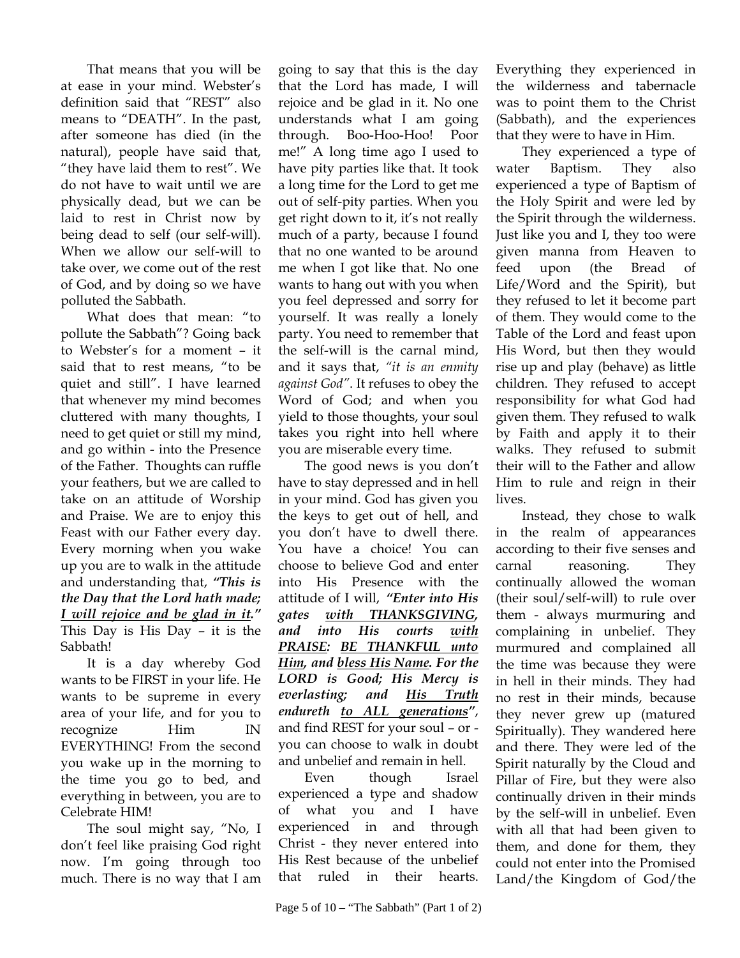That means that you will be at ease in your mind. Webster's definition said that "REST" also means to "DEATH". In the past, after someone has died (in the natural), people have said that, "they have laid them to rest". We do not have to wait until we are physically dead, but we can be laid to rest in Christ now by being dead to self (our self-will). When we allow our self-will to take over, we come out of the rest of God, and by doing so we have polluted the Sabbath.

What does that mean: "to pollute the Sabbath"? Going back to Webster's for a moment – it said that to rest means, "to be quiet and still". I have learned that whenever my mind becomes cluttered with many thoughts, I need to get quiet or still my mind, and go within - into the Presence of the Father. Thoughts can ruffle your feathers, but we are called to take on an attitude of Worship and Praise. We are to enjoy this Feast with our Father every day. Every morning when you wake up you are to walk in the attitude and understanding that, *"This is the Day that the Lord hath made; I will rejoice and be glad in it."* This Day is His Day – it is the Sabbath!

It is a day whereby God wants to be FIRST in your life. He wants to be supreme in every area of your life, and for you to recognize Him IN EVERYTHING! From the second you wake up in the morning to the time you go to bed, and everything in between, you are to Celebrate HIM!

The soul might say, "No, I don't feel like praising God right now. I'm going through too much. There is no way that I am

going to say that this is the day that the Lord has made, I will rejoice and be glad in it. No one understands what I am going through. Boo-Hoo-Hoo! Poor me!" A long time ago I used to have pity parties like that. It took a long time for the Lord to get me out of self-pity parties. When you get right down to it, it's not really much of a party, because I found that no one wanted to be around me when I got like that. No one wants to hang out with you when you feel depressed and sorry for yourself. It was really a lonely party. You need to remember that the self-will is the carnal mind, and it says that, *"it is an enmity against God"*. It refuses to obey the Word of God; and when you yield to those thoughts, your soul takes you right into hell where you are miserable every time.

The good news is you don't have to stay depressed and in hell in your mind. God has given you the keys to get out of hell, and you don't have to dwell there. You have a choice! You can choose to believe God and enter into His Presence with the attitude of I will, *"Enter into His gates with THANKSGIVING, and into His courts with PRAISE: BE THANKFUL unto Him, and bless His Name. For the LORD is Good; His Mercy is everlasting; and His Truth endureth to ALL generations"*, and find REST for your soul – or you can choose to walk in doubt and unbelief and remain in hell.

Even though Israel experienced a type and shadow of what you and I have experienced in and through Christ - they never entered into His Rest because of the unbelief that ruled in their hearts.

Everything they experienced in the wilderness and tabernacle was to point them to the Christ (Sabbath), and the experiences that they were to have in Him.

They experienced a type of water Baptism. They also experienced a type of Baptism of the Holy Spirit and were led by the Spirit through the wilderness. Just like you and I, they too were given manna from Heaven to feed upon (the Bread of Life/Word and the Spirit), but they refused to let it become part of them. They would come to the Table of the Lord and feast upon His Word, but then they would rise up and play (behave) as little children. They refused to accept responsibility for what God had given them. They refused to walk by Faith and apply it to their walks. They refused to submit their will to the Father and allow Him to rule and reign in their lives.

Instead, they chose to walk in the realm of appearances according to their five senses and carnal reasoning. They continually allowed the woman (their soul/self-will) to rule over them - always murmuring and complaining in unbelief. They murmured and complained all the time was because they were in hell in their minds. They had no rest in their minds, because they never grew up (matured Spiritually). They wandered here and there. They were led of the Spirit naturally by the Cloud and Pillar of Fire, but they were also continually driven in their minds by the self-will in unbelief. Even with all that had been given to them, and done for them, they could not enter into the Promised Land/the Kingdom of God/the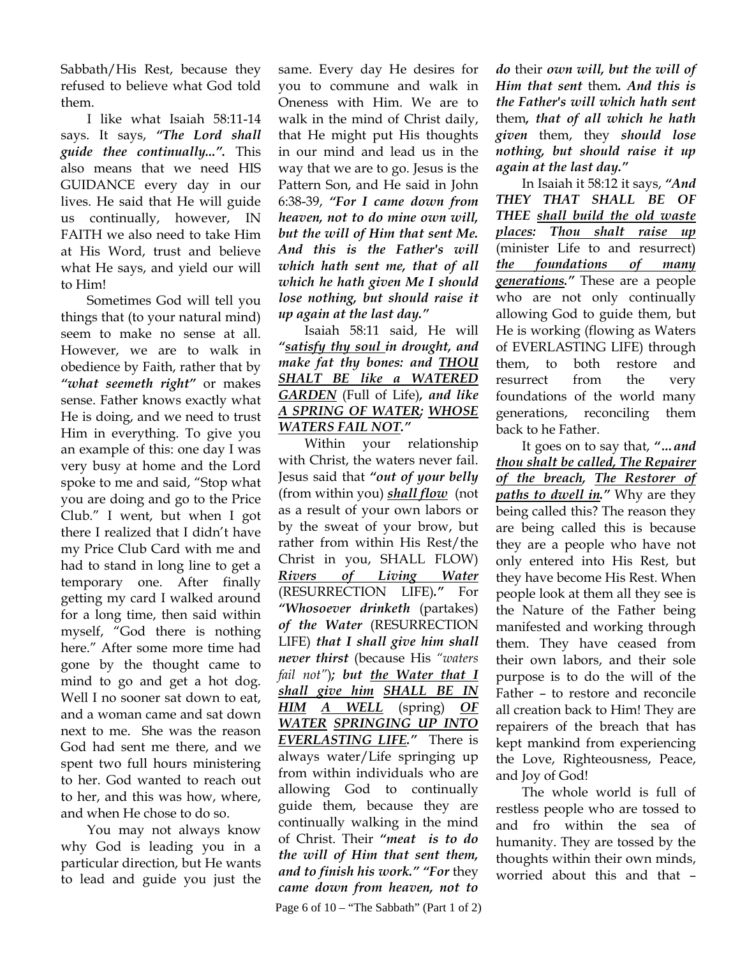Sabbath/His Rest, because they refused to believe what God told them.

I like what Isaiah 58:11-14 says. It says, *"The Lord shall guide thee continually...".* This also means that we need HIS GUIDANCE every day in our lives. He said that He will guide us continually, however, IN FAITH we also need to take Him at His Word, trust and believe what He says, and yield our will to Him!

Sometimes God will tell you things that (to your natural mind) seem to make no sense at all. However, we are to walk in obedience by Faith, rather that by *"what seemeth right"* or makes sense. Father knows exactly what He is doing, and we need to trust Him in everything. To give you an example of this: one day I was very busy at home and the Lord spoke to me and said, "Stop what you are doing and go to the Price Club." I went, but when I got there I realized that I didn't have my Price Club Card with me and had to stand in long line to get a temporary one. After finally getting my card I walked around for a long time, then said within myself, "God there is nothing here." After some more time had gone by the thought came to mind to go and get a hot dog. Well I no sooner sat down to eat, and a woman came and sat down next to me. She was the reason God had sent me there, and we spent two full hours ministering to her. God wanted to reach out to her, and this was how, where, and when He chose to do so.

You may not always know why God is leading you in a particular direction, but He wants to lead and guide you just the same. Every day He desires for you to commune and walk in Oneness with Him. We are to walk in the mind of Christ daily, that He might put His thoughts in our mind and lead us in the way that we are to go. Jesus is the Pattern Son, and He said in John 6:38-39, *"For I came down from heaven, not to do mine own will, but the will of Him that sent Me. And this is the Father's will which hath sent me, that of all which he hath given Me I should lose nothing, but should raise it up again at the last day."*

Isaiah 58:11 said, He will *"satisfy thy soul in drought, and make fat thy bones: and THOU SHALT BE like a WATERED GARDEN* (Full of Life)*, and like A SPRING OF WATER; WHOSE WATERS FAIL NOT."* 

Within your relationship with Christ, the waters never fail. Jesus said that *"out of your belly*  (from within you) *shall flow* (not as a result of your own labors or by the sweat of your brow, but rather from within His Rest/the Christ in you, SHALL FLOW) *Rivers of Living Water* (RESURRECTION LIFE)*."* For *"Whosoever drinketh* (partakes) *of the Water* (RESURRECTION LIFE) *that I shall give him shall never thirst* (because His *"waters fail not"*); but the Water that I *shall give him SHALL BE IN HIM A WELL* (spring) *OF WATER SPRINGING UP INTO EVERLASTING LIFE."* There is always water/Life springing up from within individuals who are allowing God to continually guide them, because they are continually walking in the mind of Christ. Their *"meat is to do the will of Him that sent them, and to finish his work." "For* they *came down from heaven, not to* 

Page 6 of  $10 -$  "The Sabbath" (Part 1 of 2)

*do* their *own will, but the will of Him that sent* them*. And this is the Father's will which hath sent*  them*, that of all which he hath given* them, they *should lose nothing, but should raise it up again at the last day."*

In Isaiah it 58:12 it says, *"And THEY THAT SHALL BE OF THEE shall build the old waste places: Thou shalt raise up* (minister Life to and resurrect) *the foundations of many generations."* These are a people who are not only continually allowing God to guide them, but He is working (flowing as Waters of EVERLASTING LIFE) through them, to both restore and resurrect from the very foundations of the world many generations, reconciling them back to he Father.

It goes on to say that, *"…and thou shalt be called, The Repairer of the breach, The Restorer of paths to dwell in."* Why are they being called this? The reason they are being called this is because they are a people who have not only entered into His Rest, but they have become His Rest. When people look at them all they see is the Nature of the Father being manifested and working through them. They have ceased from their own labors, and their sole purpose is to do the will of the Father – to restore and reconcile all creation back to Him! They are repairers of the breach that has kept mankind from experiencing the Love, Righteousness, Peace, and Joy of God!

The whole world is full of restless people who are tossed to and fro within the sea of humanity. They are tossed by the thoughts within their own minds, worried about this and that –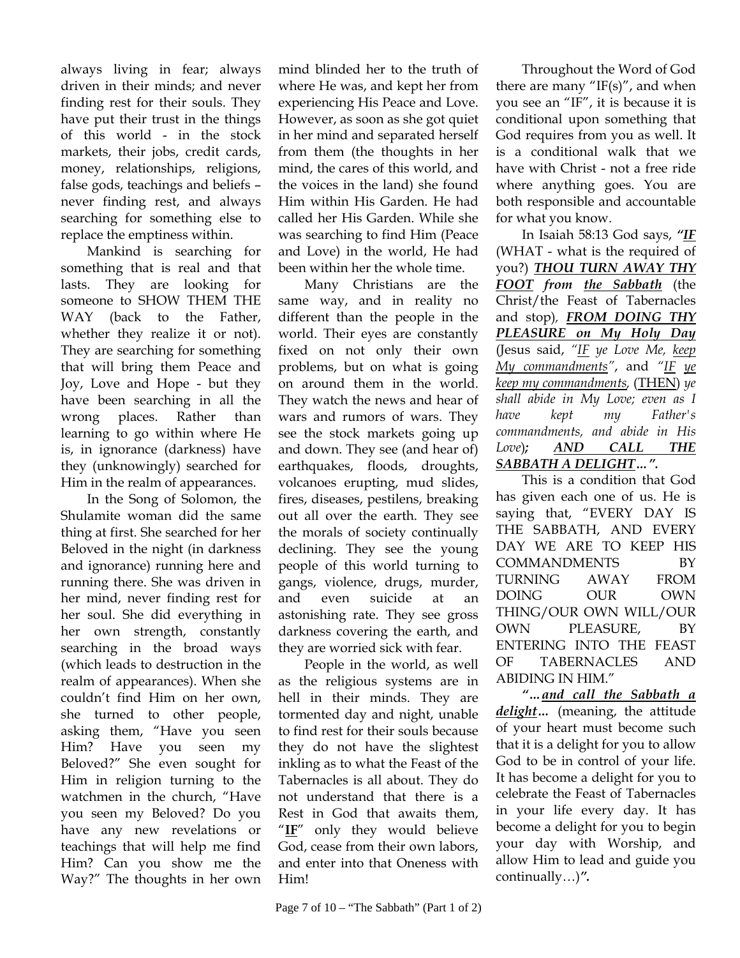always living in fear; always driven in their minds; and never finding rest for their souls. They have put their trust in the things of this world - in the stock markets, their jobs, credit cards, money, relationships, religions, false gods, teachings and beliefs – never finding rest, and always searching for something else to replace the emptiness within.

Mankind is searching for something that is real and that lasts. They are looking for someone to SHOW THEM THE WAY (back to the Father, whether they realize it or not). They are searching for something that will bring them Peace and Joy, Love and Hope - but they have been searching in all the wrong places. Rather than learning to go within where He is, in ignorance (darkness) have they (unknowingly) searched for Him in the realm of appearances.

In the Song of Solomon, the Shulamite woman did the same thing at first. She searched for her Beloved in the night (in darkness and ignorance) running here and running there. She was driven in her mind, never finding rest for her soul. She did everything in her own strength, constantly searching in the broad ways (which leads to destruction in the realm of appearances). When she couldn't find Him on her own, she turned to other people, asking them, "Have you seen Him? Have you seen my Beloved?" She even sought for Him in religion turning to the watchmen in the church, "Have you seen my Beloved? Do you have any new revelations or teachings that will help me find Him? Can you show me the Way?" The thoughts in her own

mind blinded her to the truth of where He was, and kept her from experiencing His Peace and Love. However, as soon as she got quiet in her mind and separated herself from them (the thoughts in her mind, the cares of this world, and the voices in the land) she found Him within His Garden. He had called her His Garden. While she was searching to find Him (Peace and Love) in the world, He had been within her the whole time.

Many Christians are the same way, and in reality no different than the people in the world. Their eyes are constantly fixed on not only their own problems, but on what is going on around them in the world. They watch the news and hear of wars and rumors of wars. They see the stock markets going up and down. They see (and hear of) earthquakes, floods, droughts, volcanoes erupting, mud slides, fires, diseases, pestilens, breaking out all over the earth. They see the morals of society continually declining. They see the young people of this world turning to gangs, violence, drugs, murder, and even suicide at an astonishing rate. They see gross darkness covering the earth, and they are worried sick with fear.

People in the world, as well as the religious systems are in hell in their minds. They are tormented day and night, unable to find rest for their souls because they do not have the slightest inkling as to what the Feast of the Tabernacles is all about. They do not understand that there is a Rest in God that awaits them, "IF" only they would believe God, cease from their own labors, and enter into that Oneness with Him!

Throughout the Word of God there are many " $IF(s)$ ", and when you see an "IF", it is because it is conditional upon something that God requires from you as well. It is a conditional walk that we have with Christ - not a free ride where anything goes. You are both responsible and accountable for what you know.

In Isaiah 58:13 God says, *"IF* (WHAT - what is the required of you?) *THOU TURN AWAY THY FOOT from the Sabbath* (the Christ/the Feast of Tabernacles and stop)*, FROM DOING THY PLEASURE on My Holy Day* (Jesus said, *"IF ye Love Me, keep My commandments"*, and *"IF ye keep my commandments,* (THEN) *ye shall abide in My Love; even as I have kept my Father's commandments, and abide in His Love*)*; AND CALL THE SABBATH A DELIGHT…".*

This is a condition that God has given each one of us. He is saying that, "EVERY DAY IS THE SABBATH, AND EVERY DAY WE ARE TO KEEP HIS COMMANDMENTS BY TURNING AWAY FROM DOING OUR OWN THING/OUR OWN WILL/OUR OWN PLEASURE, BY ENTERING INTO THE FEAST OF TABERNACLES AND ABIDING IN HIM."

*"…and call the Sabbath a delight…* (meaning, the attitude of your heart must become such that it is a delight for you to allow God to be in control of your life. It has become a delight for you to celebrate the Feast of Tabernacles in your life every day. It has become a delight for you to begin your day with Worship, and allow Him to lead and guide you continually…)*".*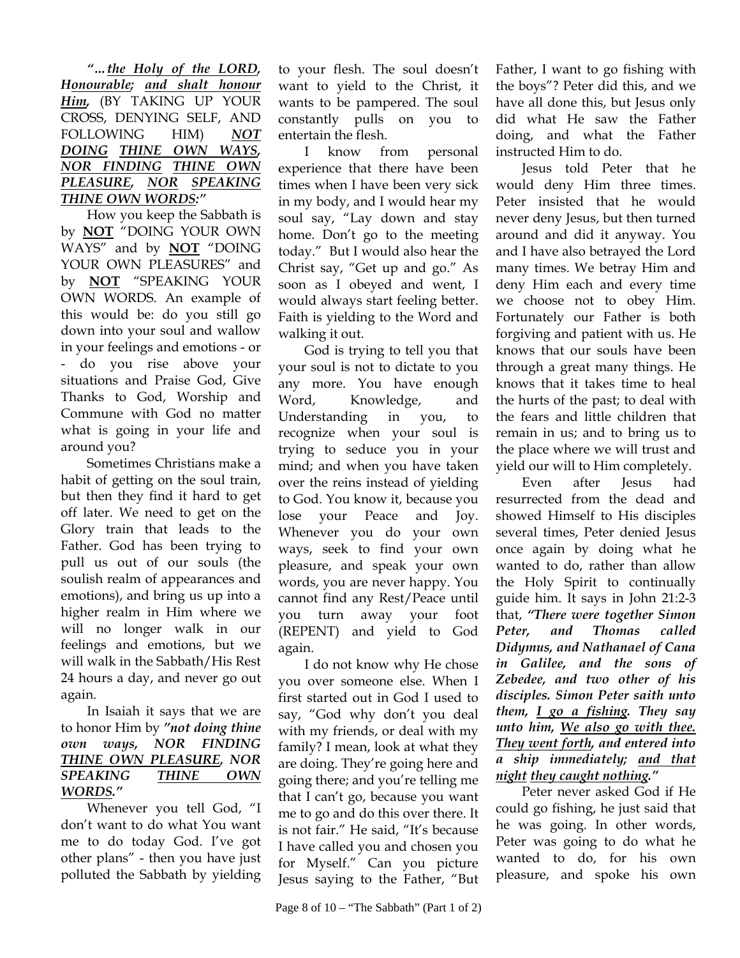*"…the Holy of the LORD, Honourable; and shalt honour Him,* (BY TAKING UP YOUR CROSS, DENYING SELF, AND FOLLOWING HIM) *NOT DOING THINE OWN WAYS, NOR FINDING THINE OWN PLEASURE, NOR SPEAKING THINE OWN WORDS:"*

How you keep the Sabbath is by **NOT** "DOING YOUR OWN WAYS" and by **NOT** "DOING YOUR OWN PLEASURES" and by **NOT** "SPEAKING YOUR OWN WORDS. An example of this would be: do you still go down into your soul and wallow in your feelings and emotions - or - do you rise above your situations and Praise God, Give Thanks to God, Worship and Commune with God no matter what is going in your life and around you?

Sometimes Christians make a habit of getting on the soul train, but then they find it hard to get off later. We need to get on the Glory train that leads to the Father. God has been trying to pull us out of our souls (the soulish realm of appearances and emotions), and bring us up into a higher realm in Him where we will no longer walk in our feelings and emotions, but we will walk in the Sabbath/His Rest 24 hours a day, and never go out again.

In Isaiah it says that we are to honor Him by *"not doing thine own ways, NOR FINDING THINE OWN PLEASURE, NOR SPEAKING THINE OWN WORDS."*

Whenever you tell God, "I don't want to do what You want me to do today God. I've got other plans" - then you have just polluted the Sabbath by yielding

to your flesh. The soul doesn't want to yield to the Christ, it wants to be pampered. The soul constantly pulls on you to entertain the flesh.

I know from personal experience that there have been times when I have been very sick in my body, and I would hear my soul say, "Lay down and stay home. Don't go to the meeting today." But I would also hear the Christ say, "Get up and go." As soon as I obeyed and went, I would always start feeling better. Faith is yielding to the Word and walking it out.

God is trying to tell you that your soul is not to dictate to you any more. You have enough Word, Knowledge, and Understanding in you, to recognize when your soul is trying to seduce you in your mind; and when you have taken over the reins instead of yielding to God. You know it, because you lose your Peace and Joy. Whenever you do your own ways, seek to find your own pleasure, and speak your own words, you are never happy. You cannot find any Rest/Peace until you turn away your foot (REPENT) and yield to God again.

I do not know why He chose you over someone else. When I first started out in God I used to say, "God why don't you deal with my friends, or deal with my family? I mean, look at what they are doing. They're going here and going there; and you're telling me that I can't go, because you want me to go and do this over there. It is not fair." He said, "It's because I have called you and chosen you for Myself." Can you picture Jesus saying to the Father, "But Father, I want to go fishing with the boys"? Peter did this, and we have all done this, but Jesus only did what He saw the Father doing, and what the Father instructed Him to do.

Jesus told Peter that he would deny Him three times. Peter insisted that he would never deny Jesus, but then turned around and did it anyway. You and I have also betrayed the Lord many times. We betray Him and deny Him each and every time we choose not to obey Him. Fortunately our Father is both forgiving and patient with us. He knows that our souls have been through a great many things. He knows that it takes time to heal the hurts of the past; to deal with the fears and little children that remain in us; and to bring us to the place where we will trust and yield our will to Him completely.

Even after Jesus had resurrected from the dead and showed Himself to His disciples several times, Peter denied Jesus once again by doing what he wanted to do, rather than allow the Holy Spirit to continually guide him. It says in John 21:2-3 that, *"There were together Simon Peter, and Thomas called Didymus, and Nathanael of Cana in Galilee, and the sons of Zebedee, and two other of his disciples. Simon Peter saith unto them, I go a fishing. They say unto him, We also go with thee. They went forth, and entered into a ship immediately; and that night they caught nothing."* 

Peter never asked God if He could go fishing, he just said that he was going. In other words, Peter was going to do what he wanted to do, for his own pleasure, and spoke his own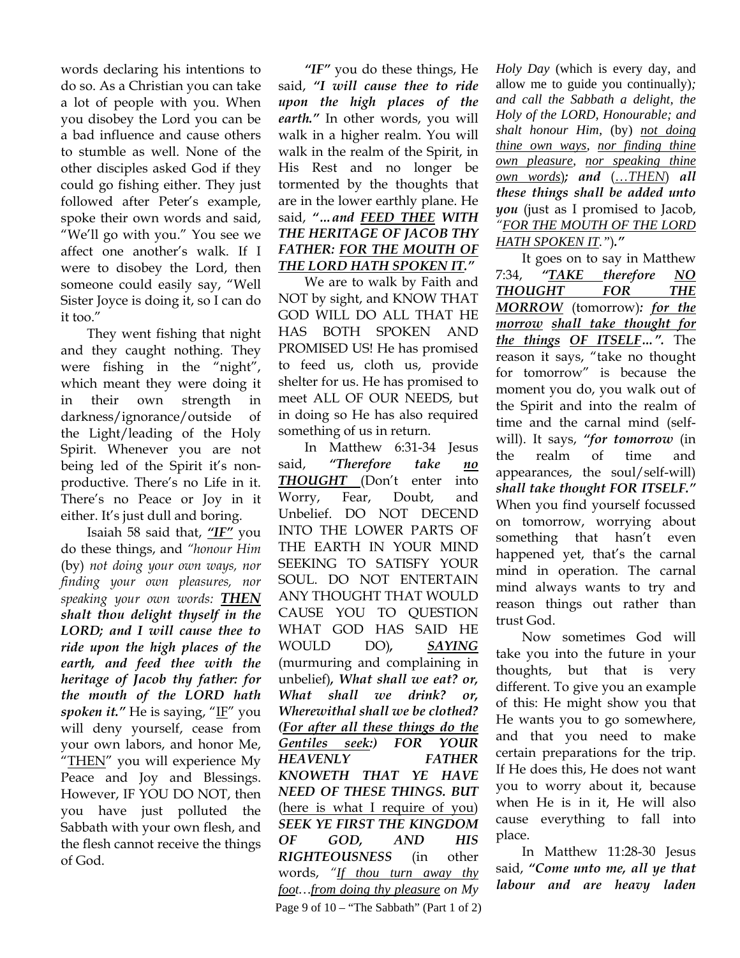words declaring his intentions to do so. As a Christian you can take a lot of people with you. When you disobey the Lord you can be a bad influence and cause others to stumble as well. None of the other disciples asked God if they could go fishing either. They just followed after Peter's example, spoke their own words and said, "We'll go with you." You see we affect one another's walk. If I were to disobey the Lord, then someone could easily say, "Well Sister Joyce is doing it, so I can do it too."

They went fishing that night and they caught nothing. They were fishing in the "night", which meant they were doing it in their own strength in darkness/ignorance/outside of the Light/leading of the Holy Spirit. Whenever you are not being led of the Spirit it's nonproductive. There's no Life in it. There's no Peace or Joy in it either. It's just dull and boring.

Isaiah 58 said that, *"IF"* you do these things, and *"honour Him* (by) *not doing your own ways, nor finding your own pleasures, nor speaking your own words: THEN shalt thou delight thyself in the LORD; and I will cause thee to ride upon the high places of the earth, and feed thee with the heritage of Jacob thy father: for the mouth of the LORD hath spoken it.*" He is saying, "IF" you will deny yourself, cease from your own labors, and honor Me, "THEN" you will experience My Peace and Joy and Blessings. However, IF YOU DO NOT, then you have just polluted the Sabbath with your own flesh, and the flesh cannot receive the things of God.

*"IF"* you do these things, He said, *"I will cause thee to ride upon the high places of the earth."* In other words, you will walk in a higher realm. You will walk in the realm of the Spirit, in His Rest and no longer be tormented by the thoughts that are in the lower earthly plane. He said, *"…and FEED THEE WITH THE HERITAGE OF JACOB THY FATHER: FOR THE MOUTH OF THE LORD HATH SPOKEN IT."*

We are to walk by Faith and NOT by sight, and KNOW THAT GOD WILL DO ALL THAT HE HAS BOTH SPOKEN AND PROMISED US! He has promised to feed us, cloth us, provide shelter for us. He has promised to meet ALL OF OUR NEEDS, but in doing so He has also required something of us in return.

Page 9 of  $10 -$  "The Sabbath" (Part 1 of 2) In Matthew 6:31-34 Jesus said, *"Therefore take no THOUGHT* (Don't enter into Worry, Fear, Doubt, and Unbelief. DO NOT DECEND INTO THE LOWER PARTS OF THE EARTH IN YOUR MIND SEEKING TO SATISFY YOUR SOUL. DO NOT ENTERTAIN ANY THOUGHT THAT WOULD CAUSE YOU TO QUESTION WHAT GOD HAS SAID HE WOULD DO)*, SAYING* (murmuring and complaining in unbelief)*, What shall we eat? or, What shall we drink? or, Wherewithal shall we be clothed? (For after all these things do the Gentiles seek:) FOR YOUR HEAVENLY FATHER KNOWETH THAT YE HAVE NEED OF THESE THINGS. BUT*  (here is what I require of you) *SEEK YE FIRST THE KINGDOM OF GOD, AND HIS RIGHTEOUSNESS* (in other words, *"If thou turn away thy foot…from doing thy pleasure on My* 

*Holy Day* (which is every day, and allow me to guide you continually)*; and call the Sabbath a delight, the Holy of the LORD, Honourable; and shalt honour Him,* (by) *not doing thine own ways, nor finding thine own pleasure, nor speaking thine own words*)*; and* (*…THEN*) *all these things shall be added unto you* (just as I promised to Jacob, *"FOR THE MOUTH OF THE LORD HATH SPOKEN IT."*)*."*

It goes on to say in Matthew 7:34, *"TAKE therefore NO THOUGHT FOR THE MORROW* (tomorrow)*: for the morrow shall take thought for the things OF ITSELF…".* The reason it says, "take no thought for tomorrow" is because the moment you do, you walk out of the Spirit and into the realm of time and the carnal mind (selfwill). It says, *"for tomorrow* (in the realm of time and appearances, the soul/self-will) *shall take thought FOR ITSELF."*  When you find yourself focussed on tomorrow, worrying about something that hasn't even happened yet, that's the carnal mind in operation. The carnal mind always wants to try and reason things out rather than trust God.

Now sometimes God will take you into the future in your thoughts, but that is very different. To give you an example of this: He might show you that He wants you to go somewhere, and that you need to make certain preparations for the trip. If He does this, He does not want you to worry about it, because when He is in it, He will also cause everything to fall into place.

In Matthew 11:28-30 Jesus said, *"Come unto me, all ye that labour and are heavy laden*